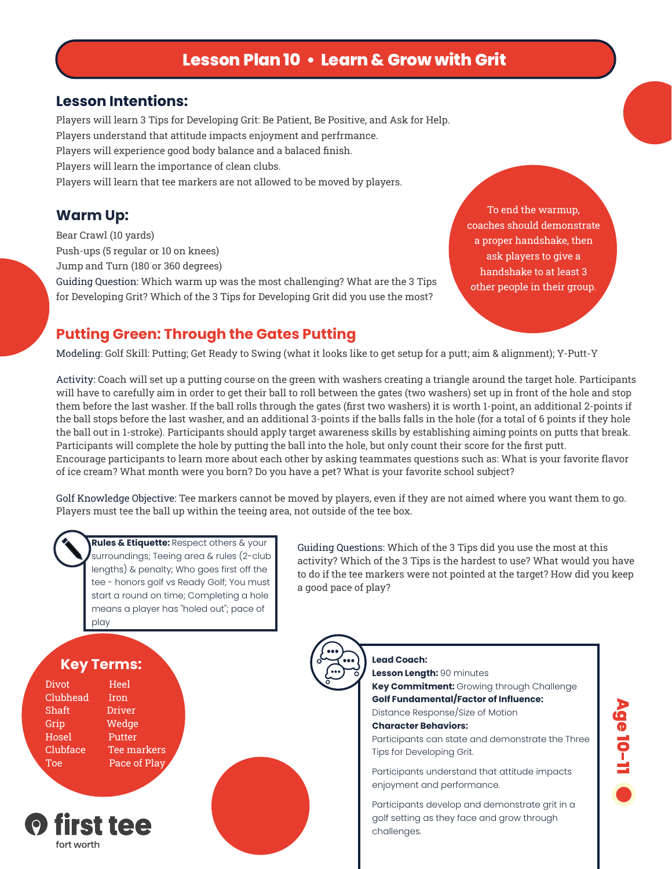# **Lesson Plan 10 • Learn & Grow with Grit**

#### **Lesson Intentions:**

Players will learn 3 Tips for Developing Grit: Be Patient, Be Positive, and Ask for Help. Players understand that attitude impacts enjoyment and perfrmance. Players will experience good body balance and a balaced finish. Players will learn the importance of clean clubs. Players will learn that tee markers are not allowed to be moved by players.

Bear Crawl (10 yards) Push-ups (5 regular or 10 on knees) Jump and Turn (180 or 360 degrees)

Guiding Question: Which warm up was the most challenging? What are the 3 Tips for Developing Grit? Which of the 3 Tips for Developing Grit did you use the most?

**Warm Up:** To end the warmup, coaches should demonstrate a proper handshake, then ask players to give a handshake to at least 3 other people in their group.

## **Putting Green: Through the Gates Putting**

Modeling: Golf Skill: Putting; Get Ready to Swing (what it looks like to get setup for a putt; aim & alignment); Y-Putt-Y

Activity: Coach will set up a putting course on the green with washers creating a triangle around the target hole. Participants will have to carefully aim in order to get their ball to roll between the gates (two washers) set up in front of the hole and stop them before the last washer. If the ball rolls through the gates (first two washers) it is worth 1-point, an additional 2-points if the ball stops before the last washer, and an additional 3-points if the balls falls in the hole (for a total of 6 points if they hole the ball out in 1-stroke). Participants should apply target awareness skills by establishing aiming points on putts that break. Participants will complete the hole by putting the ball into the hole, but only count their score for the first putt. Encourage participants to learn more about each other by asking teammates questions such as: What is your favorite flavor of ice cream? What month were you born? Do you have a pet? What is your favorite school subject?

Golf Knowledge Objective: Tee markers cannot be moved by players, even if they are not aimed where you want them to go. Players must tee the ball up within the teeing area, not outside of the tee box.

**Rules & Etiquette:** Respect others & your surroundings; Teeing area & rules (2-club lengths) & penalty; Who goes first off the tee - honors golf vs Ready Golf; You must start a round on time; Completing a hole means a player has "holed out"; pace of play

Guiding Questions: Which of the 3 Tips did you use the most at this activity? Which of the 3 Tips is the hardest to use? What would you have to do if the tee markers were not pointed at the target? How did you keep a good pace of play?



Divot Heel Clubhead Iron Shaft Driver Grip Wedge Hosel Putter Clubface Tee markers Toe **Pace of Play** 



**Lead Coach: Lesson Length:** 90 minutes **Key Commitment:** Growing through Challenge **Golf Fundamental/Factor of Influence:** Distance Response/Size of Motion **Character Behaviors:** Participants can state and demonstrate the Three Tips for Developing Grit. Participants understand that attitude impacts enjoyment and performance. Participants develop and demonstrate grit in a golf setting as they face and grow through challenges.

**Age 10-11**